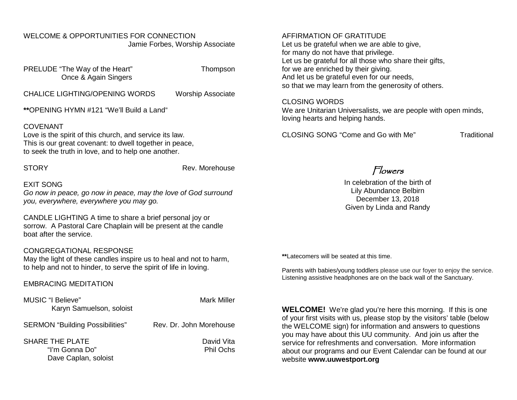#### WELCOME & OPPORTUNITIES FOR CONNECTION Jamie Forbes, Worship Associate

PRELUDE "The Way of the Heart" Thompson Once & Again Singers

CHALICE LIGHTING/OPENING WORDS Worship Associate

**\*\***OPENING HYMN #121 "We'll Build a Land"

#### COVENANT

Love is the spirit of this church, and service its law. This is our great covenant: to dwell together in peace, to seek the truth in love, and to help one another.

STORY **Rev. Morehouse** 

#### EXIT SONG

*Go now in peace, go now in peace, may the love of God surround you, everywhere, everywhere you may go.*

CANDLE LIGHTING A time to share a brief personal joy or sorrow. A Pastoral Care Chaplain will be present at the candle boat after the service.

#### CONGREGATIONAL RESPONSE

May the light of these candles inspire us to heal and not to harm, to help and not to hinder, to serve the spirit of life in loving.

EMBRACING MEDITATION

| MUSIC "I Believe"<br>Karyn Samuelson, soloist             | <b>Mark Miller</b>             |
|-----------------------------------------------------------|--------------------------------|
| <b>SERMON "Building Possibilities"</b>                    | Rev. Dr. John Morehouse        |
| SHARE THE PLATE<br>"I'm Gonna Do"<br>Dave Caplan, soloist | David Vita<br><b>Phil Ochs</b> |

#### AFFIRMATION OF GRATITUDE

Let us be grateful when we are able to give, for many do not have that privilege. Let us be grateful for all those who share their gifts, for we are enriched by their giving. And let us be grateful even for our needs, so that we may learn from the generosity of others.

#### CLOSING WORDS

We are Unitarian Universalists, we are people with open minds, loving hearts and helping hands.

CLOSING SONG "Come and Go with Me" Traditional

## Flowers

In celebration of the birth of Lily Abundance Belbirn December 13, 2018 Given by Linda and Randy

**\*\***Latecomers will be seated at this time.

Parents with babies/young toddlers please use our foyer to enjoy the service. Listening assistive headphones are on the back wall of the Sanctuary.

**WELCOME!** We're glad you're here this morning. If this is one of your first visits with us, please stop by the visitors' table (below the WELCOME sign) for information and answers to questions you may have about this UU community. And join us after the service for refreshments and conversation. More information about our programs and our Event Calendar can be found at our website **[www.uuwestport.org](http://www.uuwestport.org/)**